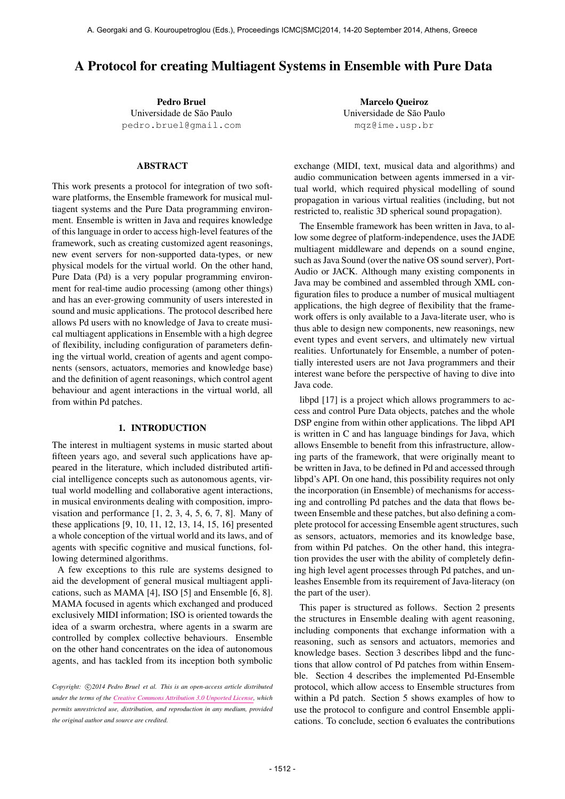# A Protocol for creating Multiagent Systems in Ensemble with Pure Data

Pedro Bruel Universidade de São Paulo [pedro.bruel@gmail.com](mailto:pedro.bruel@gmail.com)

# ABSTRACT

This work presents a protocol for integration of two software platforms, the Ensemble framework for musical multiagent systems and the Pure Data programming environment. Ensemble is written in Java and requires knowledge of this language in order to access high-level features of the framework, such as creating customized agent reasonings, new event servers for non-supported data-types, or new physical models for the virtual world. On the other hand, Pure Data (Pd) is a very popular programming environment for real-time audio processing (among other things) and has an ever-growing community of users interested in sound and music applications. The protocol described here allows Pd users with no knowledge of Java to create musical multiagent applications in Ensemble with a high degree of flexibility, including configuration of parameters defining the virtual world, creation of agents and agent components (sensors, actuators, memories and knowledge base) and the definition of agent reasonings, which control agent behaviour and agent interactions in the virtual world, all from within Pd patches.

#### 1. INTRODUCTION

The interest in multiagent systems in music started about fifteen years ago, and several such applications have appeared in the literature, which included distributed artificial intelligence concepts such as autonomous agents, virtual world modelling and collaborative agent interactions, in musical environments dealing with composition, improvisation and performance [1, 2, 3, 4, 5, 6, 7, 8]. Many of these applications [9, 10, 11, 12, 13, 14, 15, 16] presented a whole conception of the virtual world and its laws, and of agents with specific cognitive and musical functions, following determined algorithms.

A few exceptions to this rule are systems designed to aid the development of general musical multiagent applications, such as MAMA [4], ISO [5] and Ensemble [6, 8]. MAMA focused in agents which exchanged and produced exclusively MIDI information; ISO is oriented towards the idea of a swarm orchestra, where agents in a swarm are controlled by complex collective behaviours. Ensemble on the other hand concentrates on the idea of autonomous agents, and has tackled from its inception both symbolic

Copyright:  $\bigcirc$ 2014 Pedro Bruel et al. This is an open-access article distributed *under the terms of the [Creative Commons Attribution 3.0 Unported License,](http://creativecommons.org/licenses/by/3.0/) which permits unrestricted use, distribution, and reproduction in any medium, provided the original author and source are credited.*

Marcelo Queiroz Universidade de São Paulo [mqz@ime.usp.br](mailto:mqz@ime.usp.br)

exchange (MIDI, text, musical data and algorithms) and audio communication between agents immersed in a virtual world, which required physical modelling of sound propagation in various virtual realities (including, but not restricted to, realistic 3D spherical sound propagation).

The Ensemble framework has been written in Java, to allow some degree of platform-independence, uses the JADE multiagent middleware and depends on a sound engine, such as Java Sound (over the native OS sound server), Port-Audio or JACK. Although many existing components in Java may be combined and assembled through XML configuration files to produce a number of musical multiagent applications, the high degree of flexibility that the framework offers is only available to a Java-literate user, who is thus able to design new components, new reasonings, new event types and event servers, and ultimately new virtual realities. Unfortunately for Ensemble, a number of potentially interested users are not Java programmers and their interest wane before the perspective of having to dive into Java code.

libpd [17] is a project which allows programmers to access and control Pure Data objects, patches and the whole DSP engine from within other applications. The libpd API is written in C and has language bindings for Java, which allows Ensemble to benefit from this infrastructure, allowing parts of the framework, that were originally meant to be written in Java, to be defined in Pd and accessed through libpd's API. On one hand, this possibility requires not only the incorporation (in Ensemble) of mechanisms for accessing and controlling Pd patches and the data that flows between Ensemble and these patches, but also defining a complete protocol for accessing Ensemble agent structures, such as sensors, actuators, memories and its knowledge base, from within Pd patches. On the other hand, this integration provides the user with the ability of completely defining high level agent processes through Pd patches, and unleashes Ensemble from its requirement of Java-literacy (on the part of the user).

This paper is structured as follows. Section 2 presents the structures in Ensemble dealing with agent reasoning, including components that exchange information with a reasoning, such as sensors and actuators, memories and knowledge bases. Section 3 describes libpd and the functions that allow control of Pd patches from within Ensemble. Section 4 describes the implemented Pd-Ensemble protocol, which allow access to Ensemble structures from within a Pd patch. Section 5 shows examples of how to use the protocol to configure and control Ensemble applications. To conclude, section 6 evaluates the contributions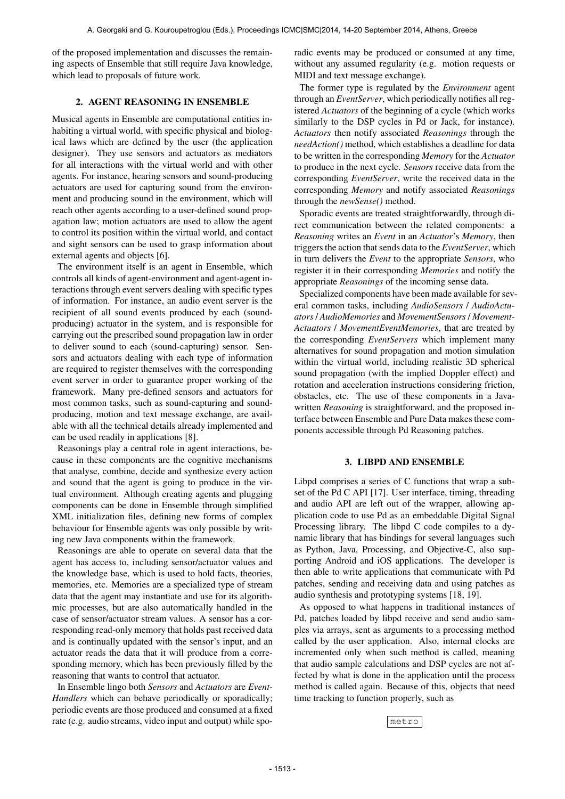of the proposed implementation and discusses the remaining aspects of Ensemble that still require Java knowledge, which lead to proposals of future work.

# 2. AGENT REASONING IN ENSEMBLE

Musical agents in Ensemble are computational entities inhabiting a virtual world, with specific physical and biological laws which are defined by the user (the application designer). They use sensors and actuators as mediators for all interactions with the virtual world and with other agents. For instance, hearing sensors and sound-producing actuators are used for capturing sound from the environment and producing sound in the environment, which will reach other agents according to a user-defined sound propagation law; motion actuators are used to allow the agent to control its position within the virtual world, and contact and sight sensors can be used to grasp information about external agents and objects [6].

The environment itself is an agent in Ensemble, which controls all kinds of agent-environment and agent-agent interactions through event servers dealing with specific types of information. For instance, an audio event server is the recipient of all sound events produced by each (soundproducing) actuator in the system, and is responsible for carrying out the prescribed sound propagation law in order to deliver sound to each (sound-capturing) sensor. Sensors and actuators dealing with each type of information are required to register themselves with the corresponding event server in order to guarantee proper working of the framework. Many pre-defined sensors and actuators for most common tasks, such as sound-capturing and soundproducing, motion and text message exchange, are available with all the technical details already implemented and can be used readily in applications [8].

Reasonings play a central role in agent interactions, because in these components are the cognitive mechanisms that analyse, combine, decide and synthesize every action and sound that the agent is going to produce in the virtual environment. Although creating agents and plugging components can be done in Ensemble through simplified XML initialization files, defining new forms of complex behaviour for Ensemble agents was only possible by writing new Java components within the framework.

Reasonings are able to operate on several data that the agent has access to, including sensor/actuator values and the knowledge base, which is used to hold facts, theories, memories, etc. Memories are a specialized type of stream data that the agent may instantiate and use for its algorithmic processes, but are also automatically handled in the case of sensor/actuator stream values. A sensor has a corresponding read-only memory that holds past received data and is continually updated with the sensor's input, and an actuator reads the data that it will produce from a corresponding memory, which has been previously filled by the reasoning that wants to control that actuator.

In Ensemble lingo both *Sensors* and *Actuators* are *Event-Handlers* which can behave periodically or sporadically; periodic events are those produced and consumed at a fixed rate (e.g. audio streams, video input and output) while sporadic events may be produced or consumed at any time, without any assumed regularity (e.g. motion requests or MIDI and text message exchange).

The former type is regulated by the *Environment* agent through an *EventServer*, which periodically notifies all registered *Actuators* of the beginning of a cycle (which works similarly to the DSP cycles in Pd or Jack, for instance). *Actuators* then notify associated *Reasonings* through the *needAction()* method, which establishes a deadline for data to be written in the corresponding *Memory* for the *Actuator* to produce in the next cycle. *Sensors* receive data from the corresponding *EventServer*, write the received data in the corresponding *Memory* and notify associated *Reasonings* through the *newSense()* method.

Sporadic events are treated straightforwardly, through direct communication between the related components: a *Reasoning* writes an *Event* in an *Actuator*'s *Memory*, then triggers the action that sends data to the *EventServer*, which in turn delivers the *Event* to the appropriate *Sensors*, who register it in their corresponding *Memories* and notify the appropriate *Reasonings* of the incoming sense data.

Specialized components have been made available for several common tasks, including *AudioSensors* / *AudioActuators* / *AudioMemories* and *MovementSensors* / *Movement-Actuators* / *MovementEventMemories*, that are treated by the corresponding *EventServers* which implement many alternatives for sound propagation and motion simulation within the virtual world, including realistic 3D spherical sound propagation (with the implied Doppler effect) and rotation and acceleration instructions considering friction, obstacles, etc. The use of these components in a Javawritten *Reasoning* is straightforward, and the proposed interface between Ensemble and Pure Data makes these components accessible through Pd Reasoning patches.

# 3. LIBPD AND ENSEMBLE

Libpd comprises a series of C functions that wrap a subset of the Pd C API [17]. User interface, timing, threading and audio API are left out of the wrapper, allowing application code to use Pd as an embeddable Digital Signal Processing library. The libpd C code compiles to a dynamic library that has bindings for several languages such as Python, Java, Processing, and Objective-C, also supporting Android and iOS applications. The developer is then able to write applications that communicate with Pd patches, sending and receiving data and using patches as audio synthesis and prototyping systems [18, 19].

As opposed to what happens in traditional instances of Pd, patches loaded by libpd receive and send audio samples via arrays, sent as arguments to a processing method called by the user application. Also, internal clocks are incremented only when such method is called, meaning that audio sample calculations and DSP cycles are not affected by what is done in the application until the process method is called again. Because of this, objects that need time tracking to function properly, such as

metro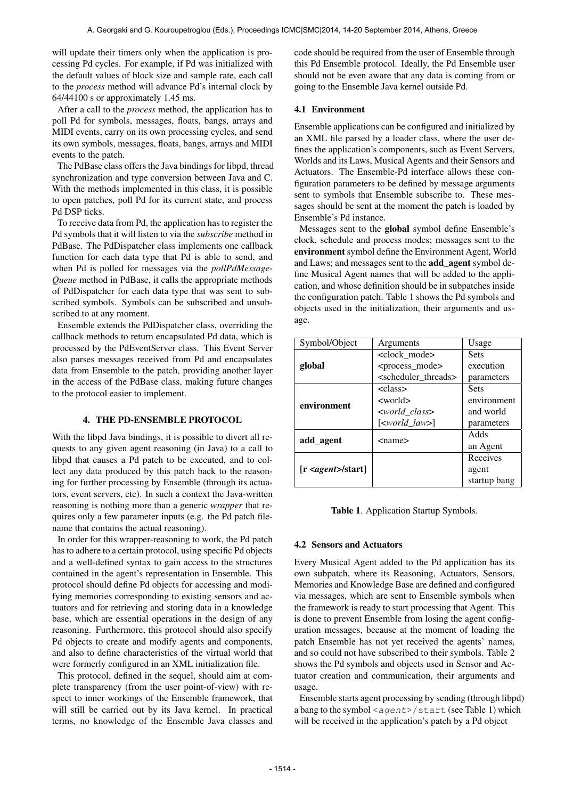will update their timers only when the application is processing Pd cycles. For example, if Pd was initialized with the default values of block size and sample rate, each call to the *process* method will advance Pd's internal clock by 64/44100 s or approximately 1.45 ms.

After a call to the *process* method, the application has to poll Pd for symbols, messages, floats, bangs, arrays and MIDI events, carry on its own processing cycles, and send its own symbols, messages, floats, bangs, arrays and MIDI events to the patch.

The PdBase class offers the Java bindings for libpd, thread synchronization and type conversion between Java and C. With the methods implemented in this class, it is possible to open patches, poll Pd for its current state, and process Pd DSP ticks.

To receive data from Pd, the application has to register the Pd symbols that it will listen to via the *subscribe* method in PdBase. The PdDispatcher class implements one callback function for each data type that Pd is able to send, and when Pd is polled for messages via the *pollPdMessage-Queue* method in PdBase, it calls the appropriate methods of PdDispatcher for each data type that was sent to subscribed symbols. Symbols can be subscribed and unsubscribed to at any moment.

Ensemble extends the PdDispatcher class, overriding the callback methods to return encapsulated Pd data, which is processed by the PdEventServer class. This Event Server also parses messages received from Pd and encapsulates data from Ensemble to the patch, providing another layer in the access of the PdBase class, making future changes to the protocol easier to implement.

# 4. THE PD-ENSEMBLE PROTOCOL

With the libpd Java bindings, it is possible to divert all requests to any given agent reasoning (in Java) to a call to libpd that causes a Pd patch to be executed, and to collect any data produced by this patch back to the reasoning for further processing by Ensemble (through its actuators, event servers, etc). In such a context the Java-written reasoning is nothing more than a generic *wrapper* that requires only a few parameter inputs (e.g. the Pd patch filename that contains the actual reasoning).

In order for this wrapper-reasoning to work, the Pd patch has to adhere to a certain protocol, using specific Pd objects and a well-defined syntax to gain access to the structures contained in the agent's representation in Ensemble. This protocol should define Pd objects for accessing and modifying memories corresponding to existing sensors and actuators and for retrieving and storing data in a knowledge base, which are essential operations in the design of any reasoning. Furthermore, this protocol should also specify Pd objects to create and modify agents and components, and also to define characteristics of the virtual world that were formerly configured in an XML initialization file.

This protocol, defined in the sequel, should aim at complete transparency (from the user point-of-view) with respect to inner workings of the Ensemble framework, that will still be carried out by its Java kernel. In practical terms, no knowledge of the Ensemble Java classes and

code should be required from the user of Ensemble through this Pd Ensemble protocol. Ideally, the Pd Ensemble user should not be even aware that any data is coming from or going to the Ensemble Java kernel outside Pd.

#### 4.1 Environment

Ensemble applications can be configured and initialized by an XML file parsed by a loader class, where the user defines the application's components, such as Event Servers, Worlds and its Laws, Musical Agents and their Sensors and Actuators. The Ensemble-Pd interface allows these configuration parameters to be defined by message arguments sent to symbols that Ensemble subscribe to. These messages should be sent at the moment the patch is loaded by Ensemble's Pd instance.

Messages sent to the global symbol define Ensemble's clock, schedule and process modes; messages sent to the environment symbol define the Environment Agent, World and Laws; and messages sent to the add\_agent symbol define Musical Agent names that will be added to the application, and whose definition should be in subpatches inside the configuration patch. Table 1 shows the Pd symbols and objects used in the initialization, their arguments and usage.

| Symbol/Object                    | Arguments                          | Usage        |
|----------------------------------|------------------------------------|--------------|
| global                           | <clock mode=""></clock>            | <b>Sets</b>  |
|                                  | <process mode=""></process>        | execution    |
|                                  | <scheduler threads=""></scheduler> | parameters   |
| environment                      | <class></class>                    | <b>Sets</b>  |
|                                  | <world></world>                    | environment  |
|                                  | $<$ world_class>                   | and world    |
|                                  | $[\lt{world\_law>}]$               | parameters   |
| add agent                        | $<$ name $>$                       | Adds         |
|                                  |                                    | an Agent     |
| [r <i>agent</i> > <i>start</i> ] |                                    | Receives     |
|                                  |                                    | agent        |
|                                  |                                    | startup bang |

Table 1. Application Startup Symbols.

# 4.2 Sensors and Actuators

Every Musical Agent added to the Pd application has its own subpatch, where its Reasoning, Actuators, Sensors, Memories and Knowledge Base are defined and configured via messages, which are sent to Ensemble symbols when the framework is ready to start processing that Agent. This is done to prevent Ensemble from losing the agent configuration messages, because at the moment of loading the patch Ensemble has not yet received the agents' names, and so could not have subscribed to their symbols. Table 2 shows the Pd symbols and objects used in Sensor and Actuator creation and communication, their arguments and usage.

Ensemble starts agent processing by sending (through libpd) a bang to the symbol <agent>/start (see Table 1) which will be received in the application's patch by a Pd object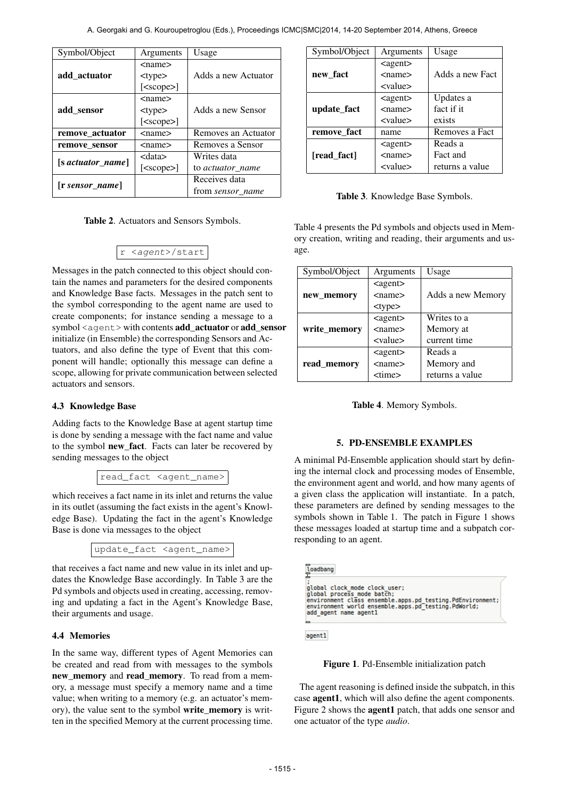| Symbol/Object          | Arguments        | Usage                   |
|------------------------|------------------|-------------------------|
| add actuator           | <name></name>    |                         |
|                        | $<$ type $>$     | Adds a new Actuator     |
|                        | $[<$ scope $>$ ] |                         |
| add_sensor             | $<$ name $>$     |                         |
|                        | $<$ type $>$     | Adds a new Sensor       |
|                        | $[<$ scope $>$ ] |                         |
| remove actuator        | <name></name>    | Removes an Actuator     |
| remove sensor          | <name></name>    | Removes a Sensor        |
| $[s$ actuator_name $]$ | <data></data>    | Writes data             |
|                        | $[<$ scope $>$ ] | to <i>actuator</i> name |
| r sensor name          |                  | Receives data           |
|                        |                  | from <i>sensor name</i> |

|  | Table 2. Actuators and Sensors Symbols. |  |
|--|-----------------------------------------|--|
|--|-----------------------------------------|--|

$$
r \langle agent \rangle / start
$$

Messages in the patch connected to this object should contain the names and parameters for the desired components and Knowledge Base facts. Messages in the patch sent to the symbol corresponding to the agent name are used to create components; for instance sending a message to a symbol <agent> with contents add\_actuator or add\_sensor initialize (in Ensemble) the corresponding Sensors and Actuators, and also define the type of Event that this component will handle; optionally this message can define a scope, allowing for private communication between selected actuators and sensors.

# 4.3 Knowledge Base

Adding facts to the Knowledge Base at agent startup time is done by sending a message with the fact name and value to the symbol new\_fact. Facts can later be recovered by sending messages to the object

read\_fact <agent\_name>

which receives a fact name in its inlet and returns the value in its outlet (assuming the fact exists in the agent's Knowledge Base). Updating the fact in the agent's Knowledge Base is done via messages to the object

update\_fact <agent\_name>

that receives a fact name and new value in its inlet and updates the Knowledge Base accordingly. In Table 3 are the Pd symbols and objects used in creating, accessing, removing and updating a fact in the Agent's Knowledge Base, their arguments and usage.

# 4.4 Memories

In the same way, different types of Agent Memories can be created and read from with messages to the symbols new\_memory and read\_memory. To read from a memory, a message must specify a memory name and a time value; when writing to a memory (e.g. an actuator's memory), the value sent to the symbol write\_memory is written in the specified Memory at the current processing time.

| Symbol/Object | Arguments         | Usage           |
|---------------|-------------------|-----------------|
|               | $\alpha$ gent $>$ |                 |
| new fact      | $<$ name $>$      | Adds a new Fact |
|               | <value></value>   |                 |
|               | $\alpha$ gent $>$ | Updates a       |
| update_fact   | $<$ name $>$      | fact if it      |
|               | <value></value>   | exists          |
| remove fact   | name              | Removes a Fact  |
|               | $\alpha$ gent $>$ | Reads a         |
| [read_fact]   | $<$ name $>$      | Fact and        |
|               | <value></value>   | returns a value |

Table 3. Knowledge Base Symbols.

Table 4 presents the Pd symbols and objects used in Memory creation, writing and reading, their arguments and usage.

| Symbol/Object | Arguments                 | Usage             |
|---------------|---------------------------|-------------------|
|               | $\alpha$ gent $\epsilon$  |                   |
| new memory    | $<$ name $>$              | Adds a new Memory |
|               | $<$ type $>$              |                   |
|               | $\alpha$ gent $>$         | Writes to a       |
| write memory  | $<$ name $>$              | Memory at         |
|               | $\langle$ value $\rangle$ | current time      |
|               | $\alpha$ gent $\epsilon$  | Reads a           |
| read_memory   | $<$ name $>$              | Memory and        |
|               | <time></time>             | returns a value   |

Table 4. Memory Symbols.

# 5. PD-ENSEMBLE EXAMPLES

A minimal Pd-Ensemble application should start by defining the internal clock and processing modes of Ensemble, the environment agent and world, and how many agents of a given class the application will instantiate. In a patch, these parameters are defined by sending messages to the symbols shown in Table 1. The patch in Figure 1 shows these messages loaded at startup time and a subpatch corresponding to an agent.

| loadbang                                                                                                                                                                                                              |  |
|-----------------------------------------------------------------------------------------------------------------------------------------------------------------------------------------------------------------------|--|
| global clock mode clock user;<br>global process mode batch;<br>environment class ensemble.apps.pd testing.PdEnvironment;<br>environment world ensemble.apps.pd <sup>-</sup> testing.PdWorld;<br>add agent name agentl |  |
|                                                                                                                                                                                                                       |  |

agent1

Figure 1. Pd-Ensemble initialization patch

The agent reasoning is defined inside the subpatch, in this case agent1, which will also define the agent components. Figure 2 shows the agent1 patch, that adds one sensor and one actuator of the type *audio*.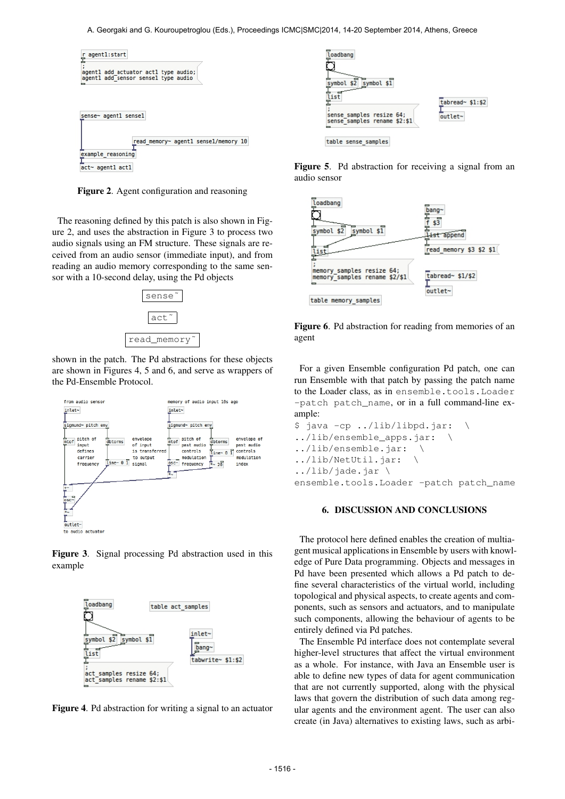

Figure 2. Agent configuration and reasoning

The reasoning defined by this patch is also shown in Figure 2, and uses the abstraction in Figure 3 to process two audio signals using an FM structure. These signals are received from an audio sensor (immediate input), and from reading an audio memory corresponding to the same sensor with a 10-second delay, using the Pd objects



shown in the patch. The Pd abstractions for these objects are shown in Figures 4, 5 and 6, and serve as wrappers of the Pd-Ensemble Protocol.



Figure 3. Signal processing Pd abstraction used in this example



Figure 4. Pd abstraction for writing a signal to an actuator



Figure 5. Pd abstraction for receiving a signal from an audio sensor





For a given Ensemble configuration Pd patch, one can run Ensemble with that patch by passing the patch name to the Loader class, as in ensemble.tools.Loader -patch patch name, or in a full command-line example:

```
$ java -cp ../lib/libpd.jar: \
../lib/ensemble_apps.jar: \
../lib/ensemble.jar: \
../lib/NetUtil.jar: \
../lib/jade.jar \
ensemble.tools.Loader -patch patch_name
```
# 6. DISCUSSION AND CONCLUSIONS

The protocol here defined enables the creation of multiagent musical applications in Ensemble by users with knowledge of Pure Data programming. Objects and messages in Pd have been presented which allows a Pd patch to define several characteristics of the virtual world, including topological and physical aspects, to create agents and components, such as sensors and actuators, and to manipulate such components, allowing the behaviour of agents to be entirely defined via Pd patches.

The Ensemble Pd interface does not contemplate several higher-level structures that affect the virtual environment as a whole. For instance, with Java an Ensemble user is able to define new types of data for agent communication that are not currently supported, along with the physical laws that govern the distribution of such data among regular agents and the environment agent. The user can also create (in Java) alternatives to existing laws, such as arbi-